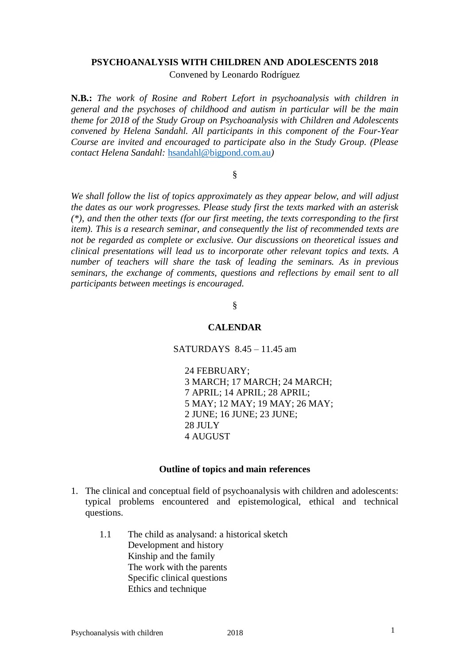### **PSYCHOANALYSIS WITH CHILDREN AND ADOLESCENTS 2018**

Convened by Leonardo Rodríguez

**N.B.:** *The work of Rosine and Robert Lefort in psychoanalysis with children in general and the psychoses of childhood and autism in particular will be the main theme for 2018 of the Study Group on Psychoanalysis with Children and Adolescents convened by Helena Sandahl. All participants in this component of the Four-Year Course are invited and encouraged to participate also in the Study Group. (Please contact Helena Sandahl:* [hsandahl@bigpond.com.au](mailto:hsandahl@bigpond.com.au)*)*

§

*We shall follow the list of topics approximately as they appear below, and will adjust the dates as our work progresses. Please study first the texts marked with an asterisk (\*), and then the other texts (for our first meeting, the texts corresponding to the first item). This is a research seminar, and consequently the list of recommended texts are not be regarded as complete or exclusive. Our discussions on theoretical issues and clinical presentations will lead us to incorporate other relevant topics and texts. A number of teachers will share the task of leading the seminars. As in previous seminars, the exchange of comments, questions and reflections by email sent to all participants between meetings is encouraged.* 

# §

## **CALENDAR**

SATURDAYS 8.45 – 11.45 am

24 FEBRUARY; 3 MARCH; 17 MARCH; 24 MARCH; 7 APRIL; 14 APRIL; 28 APRIL; 5 MAY; 12 MAY; 19 MAY; 26 MAY; 2 JUNE; 16 JUNE; 23 JUNE; 28 JULY 4 AUGUST

#### **Outline of topics and main references**

- 1. The clinical and conceptual field of psychoanalysis with children and adolescents: typical problems encountered and epistemological, ethical and technical questions.
	- 1.1 The child as analysand: a historical sketch Development and history Kinship and the family The work with the parents Specific clinical questions Ethics and technique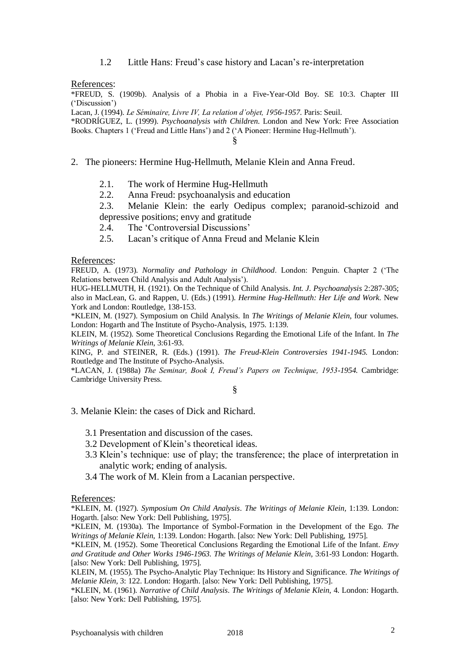1.2 Little Hans: Freud's case history and Lacan's re-interpretation

References:

\*FREUD, S. (1909b). Analysis of a Phobia in a Five-Year-Old Boy. SE 10:3. Chapter III ('Discussion')

Lacan, J. (1994). *Le Séminaire, Livre IV, La relation d'objet, 1956-1957*. Paris: Seuil.

\*RODRÍGUEZ, L. (1999). *Psychoanalysis with Children*. London and New York: Free Association Books. Chapters 1 ('Freud and Little Hans') and 2 ('A Pioneer: Hermine Hug-Hellmuth').

§

- 2. The pioneers: Hermine Hug-Hellmuth, Melanie Klein and Anna Freud.
	- 2.1. The work of Hermine Hug-Hellmuth
	- 2.2. Anna Freud: psychoanalysis and education

2.3. Melanie Klein: the early Oedipus complex; paranoid-schizoid and depressive positions; envy and gratitude

- 2.4. The 'Controversial Discussions'
- 2.5. Lacan's critique of Anna Freud and Melanie Klein

References:

FREUD, A. (1973). *Normality and Pathology in Childhood*. London: Penguin. Chapter 2 ('The Relations between Child Analysis and Adult Analysis').

HUG-HELLMUTH, H. (1921). On the Technique of Child Analysis. *Int. J. Psychoanalysis* 2:287-305; also in MacLean, G. and Rappen, U. (Eds.) (1991). *Hermine Hug-Hellmuth: Her Life and Work.* New York and London: Routledge, 138-153.

\*KLEIN, M. (1927). Symposium on Child Analysis. In *The Writings of Melanie Klein*, four volumes. London: Hogarth and The Institute of Psycho-Analysis, 1975. 1:139.

KLEIN, M. (1952). Some Theoretical Conclusions Regarding the Emotional Life of the Infant. In *The Writings of Melanie Klein*, 3:61-93.

KING, P. and STEINER, R. (Eds.) (1991). *The Freud-Klein Controversies 1941-1945.* London: Routledge and The Institute of Psycho-Analysis.

\*LACAN, J. (1988a) *The Seminar, Book I, Freud's Papers on Technique, 1953-1954.* Cambridge: Cambridge University Press.

§

# 3. Melanie Klein: the cases of Dick and Richard.

- 3.1 Presentation and discussion of the cases.
- 3.2 Development of Klein's theoretical ideas.
- 3.3 Klein's technique: use of play; the transference; the place of interpretation in analytic work; ending of analysis.
- 3.4 The work of M. Klein from a Lacanian perspective.

References:

\*KLEIN, M. (1927). *Symposium On Child Analysis*. *The Writings of Melanie Klein,* 1:139. London: Hogarth. [also: New York: Dell Publishing, 1975].

\*KLEIN, M. (1930a). The Importance of Symbol-Formation in the Development of the Ego. *The Writings of Melanie Klein,* 1:139. London: Hogarth. [also: New York: Dell Publishing, 1975].

\*KLEIN, M. (1952). Some Theoretical Conclusions Regarding the Emotional Life of the Infant*. Envy and Gratitude and Other Works 1946-1963. The Writings of Melanie Klein,* 3:61-93 London: Hogarth. [also: New York: Dell Publishing, 1975].

KLEIN, M. (1955). The Psycho-Analytic Play Technique: Its History and Significance. *The Writings of Melanie Klein,* 3: 122. London: Hogarth. [also: New York: Dell Publishing, 1975].

\*KLEIN, M. (1961). *Narrative of Child Analysis*. *The Writings of Melanie Klein*, 4. London: Hogarth. [also: New York: Dell Publishing, 1975].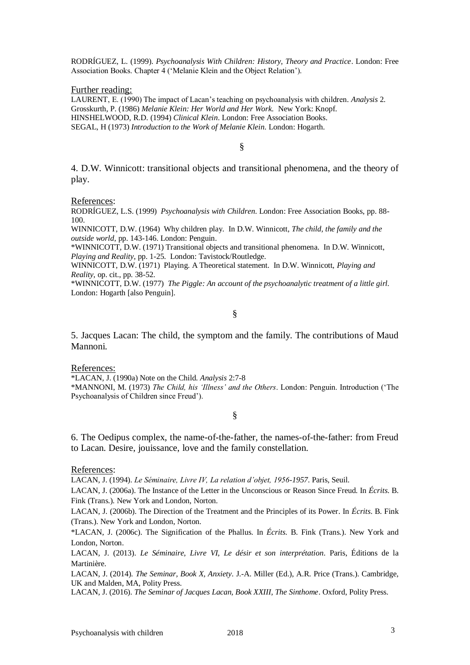RODRÍGUEZ, L. (1999). *Psychoanalysis With Children: History, Theory and Practice*. London: Free Association Books. Chapter 4 ('Melanie Klein and the Object Relation').

Further reading:

LAURENT, E. (1990) The impact of Lacan's teaching on psychoanalysis with children*. Analysis* 2. Grosskurth, P. (1986) *Melanie Klein: Her World and Her Work.* New York: Knopf. HINSHELWOOD, R.D. (1994) *Clinical Klein*. London: Free Association Books. SEGAL, H (1973) *Introduction to the Work of Melanie Klein*. London: Hogarth.

§

4. D.W. Winnicott: transitional objects and transitional phenomena, and the theory of play.

References:

RODRÍGUEZ, L.S. (1999) *Psychoanalysis with Children*. London: Free Association Books, pp. 88- 100.

WINNICOTT, D.W. (1964) Why children play. In D.W. Winnicott, *The child, the family and the outside world*, pp. 143-146. London: Penguin.

\*WINNICOTT, D.W. (1971) Transitional objects and transitional phenomena. In D.W. Winnicott, *Playing and Reality*, pp. 1-25. London: Tavistock/Routledge.

WINNICOTT, D.W. (1971) Playing. A Theoretical statement. In D.W. Winnicott, *Playing and Reality*, op. cit., pp. 38-52.

\*WINNICOTT, D.W. (1977) *The Piggle: An account of the psychoanalytic treatment of a little girl.*  London: Hogarth [also Penguin].

§

5. Jacques Lacan: The child, the symptom and the family. The contributions of Maud Mannoni.

#### References:

\*LACAN, J. (1990a) Note on the Child. *Analysis* 2:7-8 \*MANNONI, M. (1973) *The Child, his 'Illness' and the Others*. London: Penguin. Introduction ('The Psychoanalysis of Children since Freud').

# §

6. The Oedipus complex, the name-of-the-father, the names-of-the-father: from Freud to Lacan. Desire, jouissance, love and the family constellation.

References:

LACAN, J. (1994). *Le Séminaire, Livre IV, La relation d'objet, 1956-1957*. Paris, Seuil.

LACAN, J. (2006a). The Instance of the Letter in the Unconscious or Reason Since Freud. In *Écrits*. B. Fink (Trans.). New York and London, Norton.

LACAN, J. (2006b). The Direction of the Treatment and the Principles of its Power. In *Écrits*. B. Fink (Trans.). New York and London, Norton.

\*LACAN, J. (2006c). The Signification of the Phallus. In *Écrits*. B. Fink (Trans.). New York and London, Norton.

LACAN, J. (2013). *Le Séminaire, Livre VI, Le désir et son interprétation*. Paris, Éditions de la Martinière.

LACAN, J. (2014). *The Seminar, Book X, Anxiety*. J.-A. Miller (Ed.), A.R. Price (Trans.). Cambridge, UK and Malden, MA, Polity Press.

LACAN, J. (2016). *The Seminar of Jacques Lacan, Book XXIII, The Sinthome*. Oxford, Polity Press.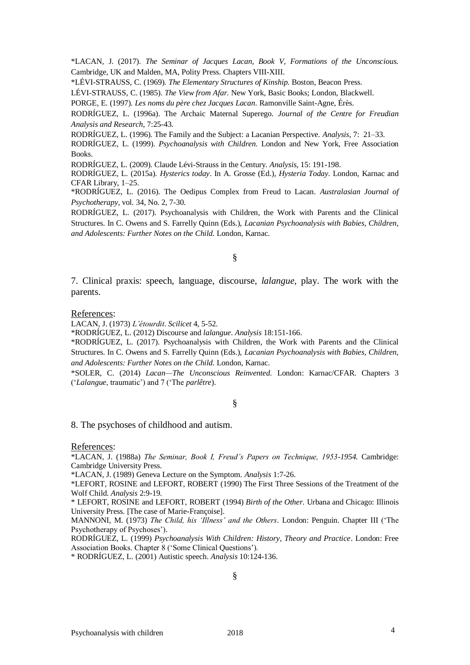\*LACAN, J. (2017). *The Seminar of Jacques Lacan, Book V, Formations of the Unconscious.*  Cambridge, UK and Malden, MA, Polity Press. Chapters VIII-XIII.

\*LÉVI-STRAUSS, C. (1969). *The Elementary Structures of Kinship.* Boston, Beacon Press.

LÉVI-STRAUSS, C. (1985). *The View from Afar.* New York, Basic Books; London, Blackwell.

PORGE, E. (1997). *Les noms du père chez Jacques Lacan*. Ramonville Saint-Agne, Érès.

RODRÍGUEZ, L. (1996a). The Archaic Maternal Superego. *Journal of the Centre for Freudian Analysis and Research*, 7:25-43.

RODRÍGUEZ, L. (1996). The Family and the Subject: a Lacanian Perspective. *Analysis*, 7: 21–33. RODRÍGUEZ, L. (1999). *Psychoanalysis with Children.* London and New York, Free Association

Books.

RODRÍGUEZ, L. (2009). Claude Lévi-Strauss in the Century. *Analysis*, 15: 191-198.

RODRÍGUEZ, L. (2015a). *Hysterics today*. In A. Grosse (Ed.), *Hysteria Today*. London, Karnac and CFAR Library, 1–25.

\*RODRÍGUEZ, L. (2016). The Oedipus Complex from Freud to Lacan. *Australasian Journal of Psychotherapy*, vol. 34, No. 2, 7-30.

RODRÍGUEZ, L. (2017). Psychoanalysis with Children, the Work with Parents and the Clinical Structures. In C. Owens and S. Farrelly Quinn (Eds.), *Lacanian Psychoanalysis with Babies, Children, and Adolescents: Further Notes on the Child.* London, Karnac.

§

7. Clinical praxis: speech, language, discourse, *lalangue*, play. The work with the parents.

References:

LACAN, J. (1973) *L'étourdit*. *Scilicet* 4, 5-52.

\*RODRÍGUEZ, L. (2012) Discourse and *lalangue*. *Analysis* 18:151-166.

\*RODRÍGUEZ, L. (2017). Psychoanalysis with Children, the Work with Parents and the Clinical Structures. In C. Owens and S. Farrelly Quinn (Eds.), *Lacanian Psychoanalysis with Babies, Children, and Adolescents: Further Notes on the Child.* London, Karnac.

\*SOLER, C. (2014) *Lacan—The Unconscious Reinvented.* London: Karnac/CFAR. Chapters 3 ('*Lalangue*, traumatic') and 7 ('The *parlêtre*).

§

8. The psychoses of childhood and autism.

### References:

\*LACAN, J. (1988a) *The Seminar, Book I, Freud's Papers on Technique, 1953-1954.* Cambridge: Cambridge University Press.

\*LACAN, J. (1989) Geneva Lecture on the Symptom. *Analysis* 1:7-26.

\*LEFORT, ROSINE and LEFORT, ROBERT (1990) The First Three Sessions of the Treatment of the Wolf Child. *Analysis* 2:9-19.

\* LEFORT, ROSINE and LEFORT, ROBERT (1994) *Birth of the Other.* Urbana and Chicago: Illinois University Press. [The case of Marie-Françoise].

MANNONI, M. (1973) *The Child, his 'Illness' and the Others*. London: Penguin. Chapter III ('The Psychotherapy of Psychoses').

RODRÍGUEZ, L. (1999) *Psychoanalysis With Children: History, Theory and Practice*. London: Free Association Books. Chapter 8 ('Some Clinical Questions').

\* RODRÍGUEZ, L. (2001) Autistic speech. *Analysis* 10:124-136.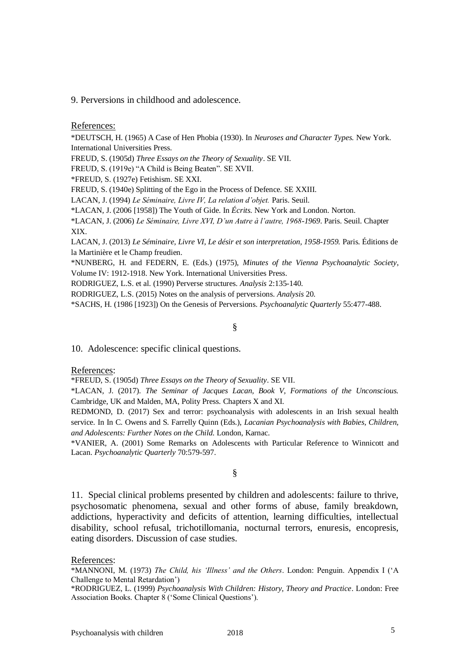9. Perversions in childhood and adolescence.

References:

\*DEUTSCH, H. (1965) A Case of Hen Phobia (1930). In *Neuroses and Character Types.* New York. International Universities Press.

FREUD, S. (1905d) *Three Essays on the Theory of Sexuality*. SE VII.

FREUD, S. (1919e) "A Child is Being Beaten". SE XVII.

\*FREUD, S. (1927e) Fetishism. SE XXI.

FREUD, S. (1940e) Splitting of the Ego in the Process of Defence. SE XXIII.

LACAN, J. (1994) *Le Séminaire, Livre IV, La relation d'objet.* Paris. Seuil.

\*LACAN, J. (2006 [1958]) The Youth of Gide. In *Écrits.* New York and London. Norton.

\*LACAN, J. (2006) *Le Séminaire, Livre XVI, D'un Autre à l'autre, 1968-1969*. Paris. Seuil. Chapter XIX.

LACAN, J. (2013) *Le Séminaire, Livre VI, Le désir et son interpretation, 1958-1959.* Paris. Éditions de la Martinière et le Champ freudien.

\*NUNBERG, H. and FEDERN, E. (Eds.) (1975), *Minutes of the Vienna Psychoanalytic Society*, Volume IV: 1912-1918. New York. International Universities Press.

RODRIGUEZ, L.S. et al. (1990) Perverse structures. *Analysis* 2:135-140.

RODRIGUEZ, L.S. (2015) Notes on the analysis of perversions. *Analysis* 20.

\*SACHS, H. (1986 [1923]) On the Genesis of Perversions. *Psychoanalytic Quarterly* 55:477-488.

### §

10. Adolescence: specific clinical questions.

References:

\*FREUD, S. (1905d) *Three Essays on the Theory of Sexuality*. SE VII.

\*LACAN, J. (2017). *The Seminar of Jacques Lacan, Book V, Formations of the Unconscious.*  Cambridge, UK and Malden, MA, Polity Press. Chapters X and XI.

REDMOND, D. (2017) Sex and terror: psychoanalysis with adolescents in an Irish sexual health service. In In C. Owens and S. Farrelly Quinn (Eds.), *Lacanian Psychoanalysis with Babies, Children, and Adolescents: Further Notes on the Child.* London, Karnac.

\*VANIER, A. (2001) Some Remarks on Adolescents with Particular Reference to Winnicott and Lacan. *Psychoanalytic Quarterly* 70:579-597.

# §

11. Special clinical problems presented by children and adolescents: failure to thrive, psychosomatic phenomena, sexual and other forms of abuse, family breakdown, addictions, hyperactivity and deficits of attention, learning difficulties, intellectual disability, school refusal, trichotillomania, nocturnal terrors, enuresis, encopresis, eating disorders. Discussion of case studies.

References:

\*MANNONI, M. (1973) *The Child, his 'Illness' and the Others*. London: Penguin. Appendix I ('A Challenge to Mental Retardation')

\*RODRIGUEZ, L. (1999) *Psychoanalysis With Children: History, Theory and Practice*. London: Free Association Books. Chapter 8 ('Some Clinical Questions').